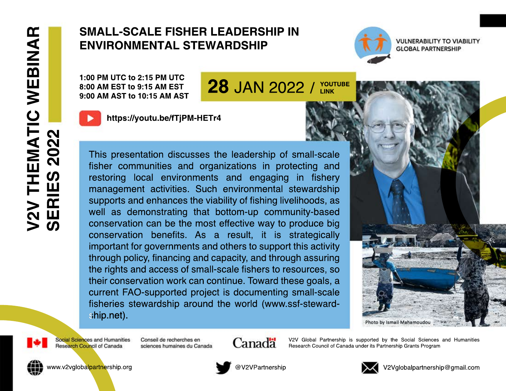## **SMALL-SCALE FISHER LEADERSHIP IN ENVIRONMENTAL STEWARDSHIP**

1:00 PM UTC to 2:15 PM UTC 8:00 AM EST to 9:15 AM EST 9:00 AM AST to 10:15 AM AST



https://youtu.be/fTjPM-HETr4

This presentation discusses the leadership of small-scale fisher communities and organizations in protecting and restoring local environments and engaging in fishery management activities. Such environmental stewardship supports and enhances the viability of fishing livelihoods, as well as demonstrating that bottom-up community-based conservation can be the most effective way to produce big conservation benefits. As a result, it is strategically important for governments and others to support this activity through policy, financing and capacity, and through assuring the rights and access of small-scale fishers to resources, so their conservation work can continue. Toward these goals, a current FAO-supported project is documenting small-scale fisheries stewardship around the world (www.ssf-stewardship.net).



**VULNERABILITY TO VIABILITY GLOBAL PARTNERSHIP** 





Social Sciences and Humanities Research Council of Canada

Conseil de recherches en sciences humaines du Canada



V2V Global Partnership is supported by the Social Sciences and Humanities Research Council of Canada under its Partnership Grants Program



www.v2vglobalpartnership.org



@V2VPartnership



V2Vglobalpartnership@gmail.com